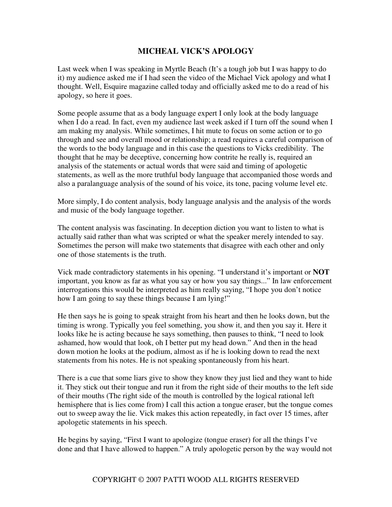## **MICHEAL VICK'S APOLOGY**

Last week when I was speaking in Myrtle Beach (It's a tough job but I was happy to do it) my audience asked me if I had seen the video of the Michael Vick apology and what I thought. Well, Esquire magazine called today and officially asked me to do a read of his apology, so here it goes.

Some people assume that as a body language expert I only look at the body language when I do a read. In fact, even my audience last week asked if I turn off the sound when I am making my analysis. While sometimes, I hit mute to focus on some action or to go through and see and overall mood or relationship; a read requires a careful comparison of the words to the body language and in this case the questions to Vicks credibility. The thought that he may be deceptive, concerning how contrite he really is, required an analysis of the statements or actual words that were said and timing of apologetic statements, as well as the more truthful body language that accompanied those words and also a paralanguage analysis of the sound of his voice, its tone, pacing volume level etc.

More simply, I do content analysis, body language analysis and the analysis of the words and music of the body language together.

The content analysis was fascinating. In deception diction you want to listen to what is actually said rather than what was scripted or what the speaker merely intended to say. Sometimes the person will make two statements that disagree with each other and only one of those statements is the truth.

Vick made contradictory statements in his opening. "I understand it's important or **NOT**  important, you know as far as what you say or how you say things..." In law enforcement interrogations this would be interpreted as him really saying, "I hope you don't notice how I am going to say these things because I am lying!"

He then says he is going to speak straight from his heart and then he looks down, but the timing is wrong. Typically you feel something, you show it, and then you say it. Here it looks like he is acting because he says something, then pauses to think, "I need to look ashamed, how would that look, oh I better put my head down." And then in the head down motion he looks at the podium, almost as if he is looking down to read the next statements from his notes. He is not speaking spontaneously from his heart.

There is a cue that some liars give to show they know they just lied and they want to hide it. They stick out their tongue and run it from the right side of their mouths to the left side of their mouths (The right side of the mouth is controlled by the logical rational left hemisphere that is lies come from) I call this action a tongue eraser, but the tongue comes out to sweep away the lie. Vick makes this action repeatedly, in fact over 15 times, after apologetic statements in his speech.

He begins by saying, "First I want to apologize (tongue eraser) for all the things I've done and that I have allowed to happen." A truly apologetic person by the way would not